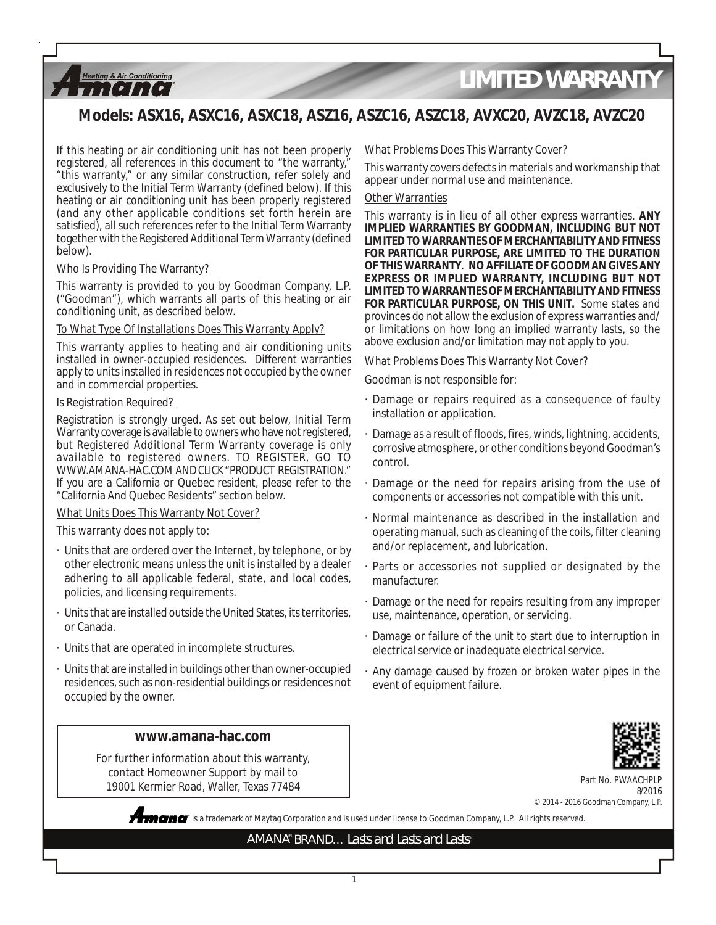

## **Models: ASX16, ASXC16, ASXC18, ASZ16, ASZC16, ASZC18, AVXC20, AVZC18, AVZC20**

If this heating or air conditioning unit has not been properly registered, all references in this document to "the warranty," "this warranty," or any similar construction, refer solely and exclusively to the Initial Term Warranty (defined below). If this heating or air conditioning unit has been properly registered (and any other applicable conditions set forth herein are satisfied), all such references refer to the Initial Term Warranty together with the Registered Additional Term Warranty (defined below).

#### Who Is Providing The Warranty?

This warranty is provided to you by Goodman Company, L.P. ("Goodman"), which warrants all parts of this heating or air conditioning unit, as described below.

#### To What Type Of Installations Does This Warranty Apply?

This warranty applies to heating and air conditioning units installed in owner-occupied residences. Different warranties apply to units installed in residences not occupied by the owner and in commercial properties.

#### Is Registration Required?

Registration is strongly urged. As set out below, Initial Term Warranty coverage is available to owners who have not registered, but Registered Additional Term Warranty coverage is only available to registered owners. TO REGISTER, GO TO WWW.AMANA-HAC.COM AND CLICK "PRODUCT REGISTRATION." If you are a California or Quebec resident, please refer to the "California And Quebec Residents" section below.

#### What Units Does This Warranty Not Cover?

This warranty does not apply to:

- · Units that are ordered over the Internet, by telephone, or by other electronic means unless the unit is installed by a dealer adhering to all applicable federal, state, and local codes, policies, and licensing requirements.
- · Units that are installed outside the United States, its territories, or Canada.
- · Units that are operated in incomplete structures.
- · Units that are installed in buildings other than owner-occupied residences, such as non-residential buildings or residences not occupied by the owner.

### **www.amana-hac.com**

For further information about this warranty, contact Homeowner Support by mail to 19001 Kermier Road, Waller, Texas 77484

#### What Problems Does This Warranty Cover?

This warranty covers defects in materials and workmanship that appear under normal use and maintenance.

#### Other Warranties

This warranty is in lieu of all other express warranties. **ANY IMPLIED WARRANTIES BY GOODMAN, INCLUDING BUT NOT LIMITED TO WARRANTIES OF MERCHANTABILITY AND FITNESS FOR PARTICULAR PURPOSE, ARE LIMITED TO THE DURATION OF THIS WARRANTY**. **NO AFFILIATE OF GOODMAN GIVES ANY EXPRESS OR IMPLIED WARRANTY, INCLUDING BUT NOT LIMITED TO WARRANTIES OF MERCHANTABILITY AND FITNESS FOR PARTICULAR PURPOSE, ON THIS UNIT.** Some states and provinces do not allow the exclusion of express warranties and/ or limitations on how long an implied warranty lasts, so the above exclusion and/or limitation may not apply to you.

#### What Problems Does This Warranty Not Cover?

Goodman is not responsible for:

- · Damage or repairs required as a consequence of faulty installation or application.
- Damage as a result of floods, fires, winds, lightning, accidents, corrosive atmosphere, or other conditions beyond Goodman's control.
- Damage or the need for repairs arising from the use of components or accessories not compatible with this unit.
- · Normal maintenance as described in the installation and operating manual, such as cleaning of the coils, filter cleaning and/or replacement, and lubrication.
- Parts or accessories not supplied or designated by the manufacturer.
- Damage or the need for repairs resulting from any improper use, maintenance, operation, or servicing.
- · Damage or failure of the unit to start due to interruption in electrical service or inadequate electrical service.
- · Any damage caused by frozen or broken water pipes in the event of equipment failure.



Part No. PWA 8/2016 © 2014 - 2016 Goodman Company, L.P.

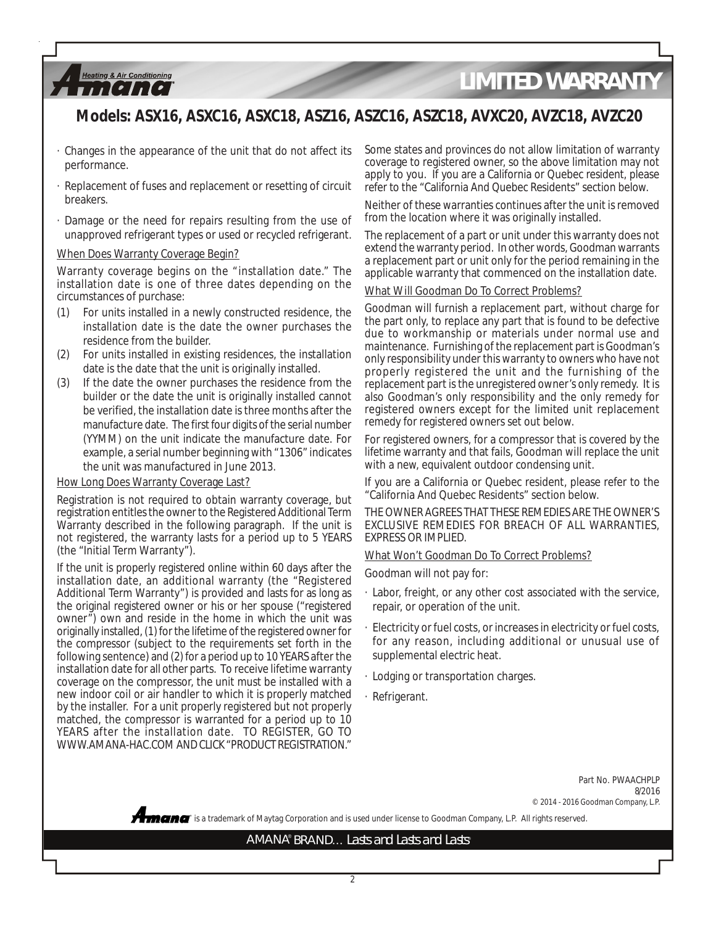## **Models: ASX16, ASXC16, ASXC18, ASZ16, ASZC16, ASZC18, AVXC20, AVZC18, AVZC20**

- · Changes in the appearance of the unit that do not affect its performance.
- · Replacement of fuses and replacement or resetting of circuit breakers.
- · Damage or the need for repairs resulting from the use of unapproved refrigerant types or used or recycled refrigerant.

#### When Does Warranty Coverage Begin?

**Heating & Air Conditioning** ,,,,,,,,,,,

Warranty coverage begins on the "installation date." The installation date is one of three dates depending on the circumstances of purchase:

- (1) For units installed in a newly constructed residence, the installation date is the date the owner purchases the residence from the builder.
- (2) For units installed in existing residences, the installation date is the date that the unit is originally installed.
- (3) If the date the owner purchases the residence from the builder or the date the unit is originally installed cannot be verified, the installation date is three months after the manufacture date. The first four digits of the serial number (YYMM) on the unit indicate the manufacture date. For example, a serial number beginning with "1306" indicates the unit was manufactured in June 2013.

#### How Long Does Warranty Coverage Last?

Registration is not required to obtain warranty coverage, but registration entitles the owner to the Registered Additional Term Warranty described in the following paragraph. If the unit is not registered, the warranty lasts for a period up to 5 YEARS (the "Initial Term Warranty").

If the unit is properly registered online within 60 days after the installation date, an additional warranty (the "Registered Additional Term Warranty") is provided and lasts for as long as the original registered owner or his or her spouse ("registered owner") own and reside in the home in which the unit was originally installed, (1) for the lifetime of the registered owner for the compressor (subject to the requirements set forth in the following sentence) and (2) for a period up to 10 YEARS after the installation date for all other parts. To receive lifetime warranty coverage on the compressor, the unit must be installed with a new indoor coil or air handler to which it is properly matched by the installer. For a unit properly registered but not properly matched, the compressor is warranted for a period up to 10 YEARS after the installation date. TO REGISTER, GO TO WWW.AMANA-HAC.COM AND CLICK "PRODUCT REGISTRATION."

Some states and provinces do not allow limitation of warranty coverage to registered owner, so the above limitation may not apply to you. If you are a California or Quebec resident, please refer to the "California And Quebec Residents" section below.

Neither of these warranties continues after the unit is removed from the location where it was originally installed.

The replacement of a part or unit under this warranty does not extend the warranty period. In other words, Goodman warrants a replacement part or unit only for the period remaining in the applicable warranty that commenced on the installation date.

#### What Will Goodman Do To Correct Problems?

Goodman will furnish a replacement part, without charge for the part only, to replace any part that is found to be defective due to workmanship or materials under normal use and maintenance. Furnishing of the replacement part is Goodman's only responsibility under this warranty to owners who have not properly registered the unit and the furnishing of the replacement part is the unregistered owner's only remedy. It is also Goodman's only responsibility and the only remedy for registered owners except for the limited unit replacement remedy for registered owners set out below.

For registered owners, for a compressor that is covered by the lifetime warranty and that fails, Goodman will replace the unit with a new, equivalent outdoor condensing unit.

If you are a California or Quebec resident, please refer to the "California And Quebec Residents" section below.

THE OWNER AGREES THAT THESE REMEDIES ARE THE OWNER'S EXCLUSIVE REMEDIES FOR BREACH OF ALL WARRANTIES, EXPRESS OR IMPLIED.

#### What Won't Goodman Do To Correct Problems?

Goodman will not pay for:

- · Labor, freight, or any other cost associated with the service, repair, or operation of the unit.
- · Electricity or fuel costs, or increases in electricity or fuel costs, for any reason, including additional or unusual use of supplemental electric heat.
- · Lodging or transportation charges.
- · Refrigerant.

Part No. PWAACHPLP 8/2016 © 2014 - 2016 Goodman Company, L.P.

**®** is a trademark of Maytag Corporation and is used under license to Goodman Company, L.P. All rights reserved.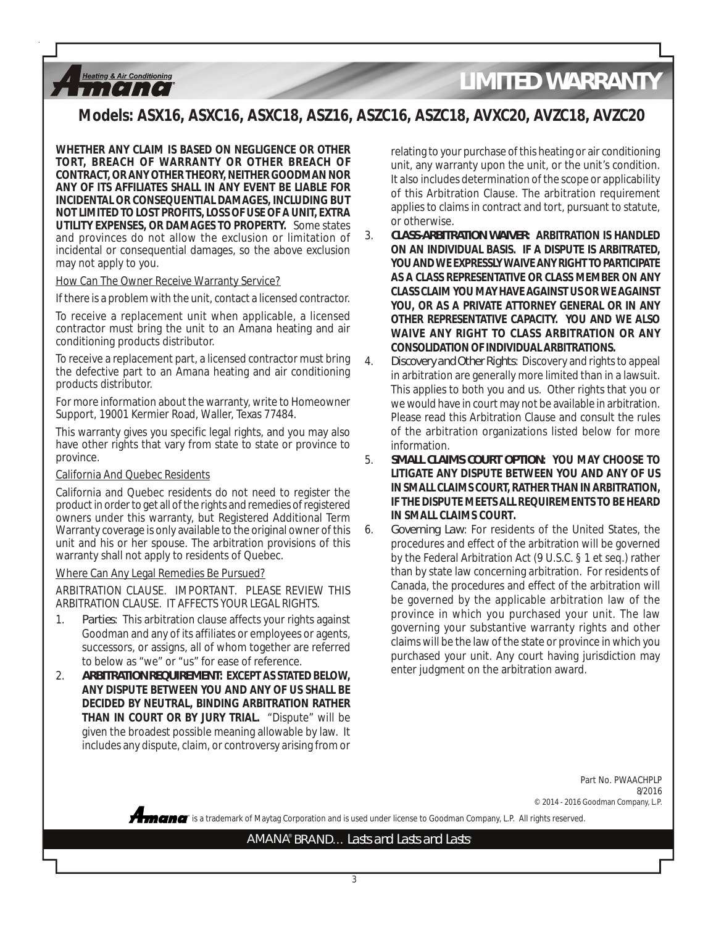## **Models: ASX16, ASXC16, ASXC18, ASZ16, ASZC16, ASZC18, AVXC20, AVZC18, AVZC20**

**WHETHER ANY CLAIM IS BASED ON NEGLIGENCE OR OTHER TORT, BREACH OF WARRANTY OR OTHER BREACH OF CONTRACT, OR ANY OTHER THEORY, NEITHER GOODMAN NOR ANY OF ITS AFFILIATES SHALL IN ANY EVENT BE LIABLE FOR INCIDENTAL OR CONSEQUENTIAL DAMAGES, INCLUDING BUT NOT LIMITED TO LOST PROFITS, LOSS OF USE OF A UNIT, EXTRA UTILITY EXPENSES, OR DAMAGES TO PROPERTY.** Some states and provinces do not allow the exclusion or limitation of incidental or consequential damages, so the above exclusion may not apply to you.

#### How Can The Owner Receive Warranty Service?

**Heating & Air Conditioning** ,,,,,,,,,,

If there is a problem with the unit, contact a licensed contractor.

To receive a replacement unit when applicable, a licensed contractor must bring the unit to an Amana heating and air conditioning products distributor.

To receive a replacement part, a licensed contractor must bring the defective part to an Amana heating and air conditioning products distributor.

For more information about the warranty, write to Homeowner Support, 19001 Kermier Road, Waller, Texas 77484.

This warranty gives you specific legal rights, and you may also have other rights that vary from state to state or province to province.

#### California And Quebec Residents

California and Quebec residents do not need to register the product in order to get all of the rights and remedies of registered owners under this warranty, but Registered Additional Term Warranty coverage is only available to the original owner of this unit and his or her spouse. The arbitration provisions of this warranty shall not apply to residents of Quebec.

#### Where Can Any Legal Remedies Be Pursued?

ARBITRATION CLAUSE. IMPORTANT. PLEASE REVIEW THIS ARBITRATION CLAUSE. IT AFFECTS YOUR LEGAL RIGHTS.

- 1. *Parties*: This arbitration clause affects your rights against Goodman and any of its affiliates or employees or agents, successors, or assigns, all of whom together are referred to below as "we" or "us" for ease of reference.
- 2. *ARBITRATION REQUIREMENT***: EXCEPT AS STATED BELOW, ANY DISPUTE BETWEEN YOU AND ANY OF US SHALL BE DECIDED BY NEUTRAL, BINDING ARBITRATION RATHER THAN IN COURT OR BY JURY TRIAL.** "Dispute" will be given the broadest possible meaning allowable by law. It includes any dispute, claim, or controversy arising from or

relating to your purchase of this heating or air conditioning unit, any warranty upon the unit, or the unit's condition. It also includes determination of the scope or applicability of this Arbitration Clause. The arbitration requirement applies to claims in contract and tort, pursuant to statute, or otherwise.

- 3. *CLASS-ARBITRATION WAIVER***: ARBITRATION IS HANDLED ON AN INDIVIDUAL BASIS. IF A DISPUTE IS ARBITRATED, YOU AND WE EXPRESSLY WAIVE ANY RIGHT TO PARTICIPATE AS A CLASS REPRESENTATIVE OR CLASS MEMBER ON ANY CLASS CLAIM YOU MAY HAVE AGAINST US OR WE AGAINST YOU, OR AS A PRIVATE ATTORNEY GENERAL OR IN ANY OTHER REPRESENTATIVE CAPACITY. YOU AND WE ALSO WAIVE ANY RIGHT TO CLASS ARBITRATION OR ANY CONSOLIDATION OF INDIVIDUAL ARBITRATIONS.**
- 4. *Discovery and Other Rights*: Discovery and rights to appeal in arbitration are generally more limited than in a lawsuit. This applies to both you and us. Other rights that you or we would have in court may not be available in arbitration. Please read this Arbitration Clause and consult the rules of the arbitration organizations listed below for more information.
- 5. *SMALL CLAIMS COURT OPTION***: YOU MAY CHOOSE TO LITIGATE ANY DISPUTE BETWEEN YOU AND ANY OF US IN SMALL CLAIMS COURT, RATHER THAN IN ARBITRATION, IF THE DISPUTE MEETS ALL REQUIREMENTS TO BE HEARD IN SMALL CLAIMS COURT.**
- 6. *Governing Law*: For residents of the United States, the procedures and effect of the arbitration will be governed by the Federal Arbitration Act (9 U.S.C. § 1 et seq.) rather than by state law concerning arbitration. For residents of Canada, the procedures and effect of the arbitration will be governed by the applicable arbitration law of the province in which you purchased your unit. The law governing your substantive warranty rights and other claims will be the law of the state or province in which you purchased your unit. Any court having jurisdiction may enter judgment on the arbitration award.

Part No. PWAACHPLP 8/2016 © 2014 - 2016 Goodman Company, L.P.

**®** is a trademark of Maytag Corporation and is used under license to Goodman Company, L.P. All rights reserved.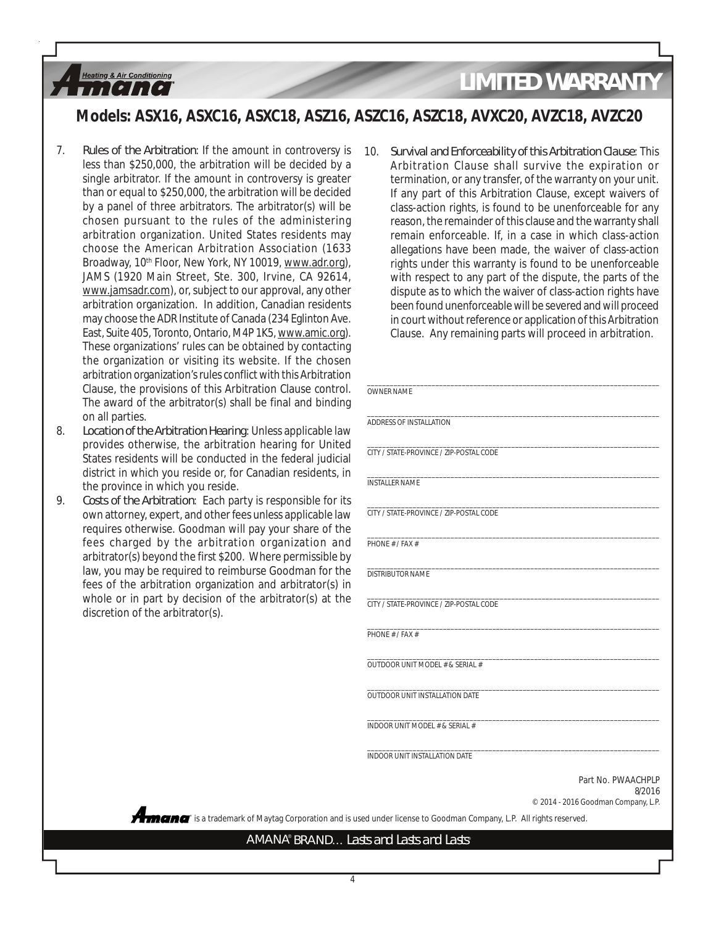### **Models: ASX16, ASXC16, ASXC18, ASZ16, ASZC16, ASZC18, AVXC20, AVZC18, AVZC20**

7. *Rules of the Arbitration*: If the amount in controversy is less than \$250,000, the arbitration will be decided by a single arbitrator. If the amount in controversy is greater than or equal to \$250,000, the arbitration will be decided by a panel of three arbitrators. The arbitrator(s) will be chosen pursuant to the rules of the administering arbitration organization. United States residents may choose the American Arbitration Association (1633 Broadway, 10<sup>th</sup> Floor, New York, NY 10019, www.adr.org), JAMS (1920 Main Street, Ste. 300, Irvine, CA 92614, www.jamsadr.com), or, subject to our approval, any other arbitration organization. In addition, Canadian residents may choose the ADR Institute of Canada (234 Eglinton Ave. East, Suite 405, Toronto, Ontario, M4P 1K5, www.amic.org). These organizations' rules can be obtained by contacting the organization or visiting its website. If the chosen arbitration organization's rules conflict with this Arbitration Clause, the provisions of this Arbitration Clause control The award of the arbitrator(s) shall be final and binding on all parties.

**Heating & Air Conditioning**  $11$ [ $2$ ]

- 8. *Location of the Arbitration Hearing*: Unless applicable law provides otherwise, the arbitration hearing for United States residents will be conducted in the federal judici district in which you reside or, for Canadian residents, the province in which you reside.
- 9. *Costs of the Arbitration*: Each party is responsible for own attorney, expert, and other fees unless applicable law requires otherwise. Goodman will pay your share of the fees charged by the arbitration organization are arbitrator(s) beyond the first \$200. Where permissible law, you may be required to reimburse Goodman for the fees of the arbitration organization and arbitrator(s) whole or in part by decision of the arbitrator(s) at the discretion of the arbitrator(s).

10. *Survival and Enforceability of this Arbitration Clause*: This Arbitration Clause shall survive the expiration or termination, or any transfer, of the warranty on your unit. If any part of this Arbitration Clause, except waivers of class-action rights, is found to be unenforceable for any reason, the remainder of this clause and the warranty shall remain enforceable. If, in a case in which class-action allegations have been made, the waiver of class-action rights under this warranty is found to be unenforceable with respect to any part of the dispute, the parts of the dispute as to which the waiver of class-action rights have been found unenforceable will be severed and will proceed in court without reference or application of this Arbitration Clause. Any remaining parts will proceed in arbitration.

| <b>OWNER NAME</b>                       |  |
|-----------------------------------------|--|
|                                         |  |
| ADDRESS OF INSTALLATION                 |  |
|                                         |  |
| CITY / STATE-PROVINCE / ZIP-POSTAL CODE |  |
| <b>INSTALLER NAME</b>                   |  |
|                                         |  |
| CITY / STATE-PROVINCE / ZIP-POSTAL CODE |  |
|                                         |  |
| PHONE # / FAX #                         |  |
|                                         |  |
| <b>DISTRIBUTOR NAME</b>                 |  |
| CITY / STATE-PROVINCE / ZIP-POSTAL CODE |  |
|                                         |  |
| PHONE # / FAX #                         |  |
| OUTDOOR UNIT MODEL # & SERIAL #         |  |
|                                         |  |
| OUTDOOR UNIT INSTALL ATION DATE         |  |
|                                         |  |
| INDOOR UNIT MODEL # & SERIAL #          |  |
|                                         |  |
| <b>INDOOR UNIT INSTALLATION DATE</b>    |  |

8/2016 © 2014 - 2016 Goodman Company, L.P.

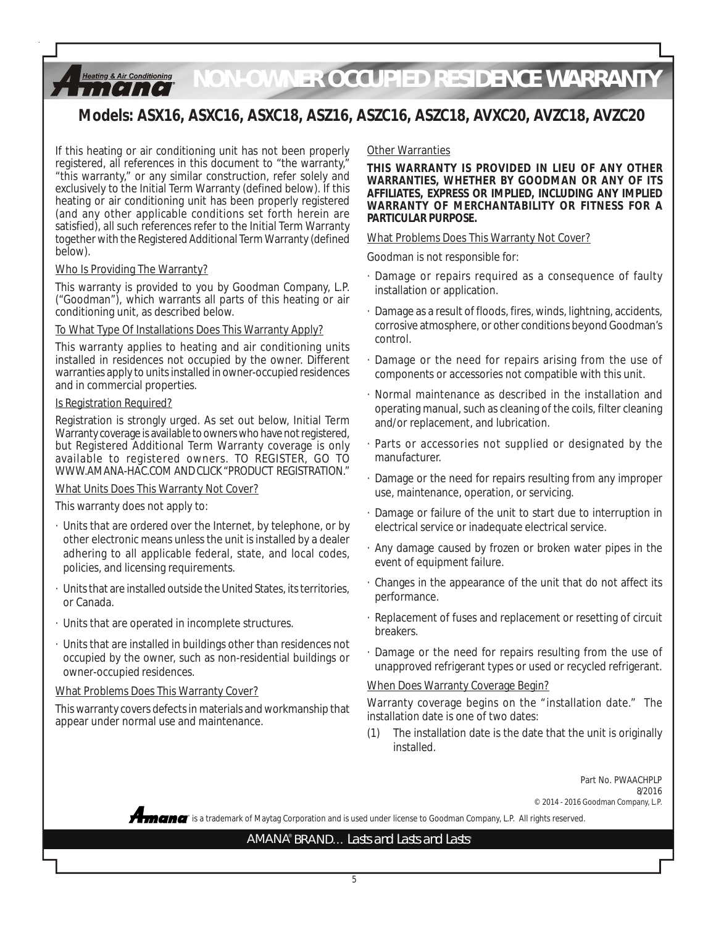#### *NON-OWNER OCCUPIED RESIDENCE WARRANTY* **Heating & Air Conditioning**  $112211221$

## **Models: ASX16, ASXC16, ASXC18, ASZ16, ASZC16, ASZC18, AVXC20, AVZC18, AVZC20**

If this heating or air conditioning unit has not been properly registered, all references in this document to "the warranty," "this warranty," or any similar construction, refer solely and exclusively to the Initial Term Warranty (defined below). If this heating or air conditioning unit has been properly registered (and any other applicable conditions set forth herein are satisfied), all such references refer to the Initial Term Warranty together with the Registered Additional Term Warranty (defined below).

#### Who Is Providing The Warranty?

This warranty is provided to you by Goodman Company, L.P. ("Goodman"), which warrants all parts of this heating or air conditioning unit, as described below.

#### To What Type Of Installations Does This Warranty Apply?

This warranty applies to heating and air conditioning units installed in residences not occupied by the owner. Different warranties apply to units installed in owner-occupied residences and in commercial properties.

#### Is Registration Required?

Registration is strongly urged. As set out below, Initial Term Warranty coverage is available to owners who have not registered, but Registered Additional Term Warranty coverage is only available to registered owners. TO REGISTER, GO TO WWW.AMANA-HAC.COM AND CLICK "PRODUCT REGISTRATION."

#### What Units Does This Warranty Not Cover?

This warranty does not apply to:

- · Units that are ordered over the Internet, by telephone, or by other electronic means unless the unit is installed by a dealer adhering to all applicable federal, state, and local codes, policies, and licensing requirements.
- · Units that are installed outside the United States, its territories, or Canada.
- · Units that are operated in incomplete structures.
- · Units that are installed in buildings other than residences not occupied by the owner, such as non-residential buildings or owner-occupied residences.

#### What Problems Does This Warranty Cover?

This warranty covers defects in materials and workmanship that appear under normal use and maintenance.

#### Other Warranties

**THIS WARRANTY IS PROVIDED IN LIEU OF ANY OTHER WARRANTIES, WHETHER BY GOODMAN OR ANY OF ITS AFFILIATES, EXPRESS OR IMPLIED, INCLUDING ANY IMPLIED WARRANTY OF MERCHANTABILITY OR FITNESS FOR A PARTICULAR PURPOSE.**

#### What Problems Does This Warranty Not Cover?

Goodman is not responsible for:

- · Damage or repairs required as a consequence of faulty installation or application.
- · Damage as a result of floods, fires, winds, lightning, accidents, corrosive atmosphere, or other conditions beyond Goodman's control.
- · Damage or the need for repairs arising from the use of components or accessories not compatible with this unit.
- · Normal maintenance as described in the installation and operating manual, such as cleaning of the coils, filter cleaning and/or replacement, and lubrication.
- Parts or accessories not supplied or designated by the manufacturer.
- Damage or the need for repairs resulting from any improper use, maintenance, operation, or servicing.
- · Damage or failure of the unit to start due to interruption in electrical service or inadequate electrical service.
- · Any damage caused by frozen or broken water pipes in the event of equipment failure.
- · Changes in the appearance of the unit that do not affect its performance.
- · Replacement of fuses and replacement or resetting of circuit breakers.
- Damage or the need for repairs resulting from the use of unapproved refrigerant types or used or recycled refrigerant.

#### When Does Warranty Coverage Begin?

Warranty coverage begins on the "installation date." The installation date is one of two dates:

(1) The installation date is the date that the unit is originally installed.

> Part No. PWAACHPLP 8/2016 © 2014 - 2016 Goodman Company, L.P.

**®** is a trademark of Maytag Corporation and is used under license to Goodman Company, L.P. All rights reserved.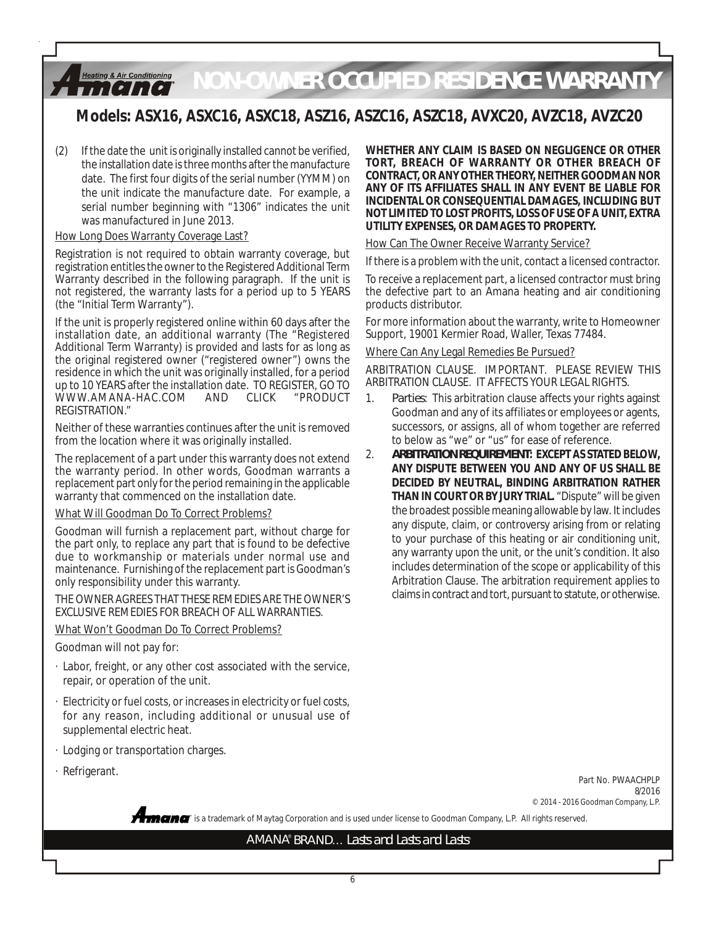#### **Heating & Air Conditioning** *NON-OWNER OCCUPIED RESIDENCE WARRANTY iitetitel*

## **Models: ASX16, ASXC16, ASXC18, ASZ16, ASZC16, ASZC18, AVXC20, AVZC18, AVZC20**

(2) If the date the unit is originally installed cannot be verified, the installation date is three months after the manufacture date. The first four digits of the serial number (YYMM) on the unit indicate the manufacture date. For example, a serial number beginning with "1306" indicates the unit was manufactured in June 2013.

#### How Long Does Warranty Coverage Last?

Registration is not required to obtain warranty coverage, but registration entitles the owner to the Registered Additional Term Warranty described in the following paragraph. If the unit is not registered, the warranty lasts for a period up to 5 YEARS (the "Initial Term Warranty").

If the unit is properly registered online within 60 days after the installation date, an additional warranty (The "Registered Additional Term Warranty) is provided and lasts for as long as the original registered owner ("registered owner") owns the residence in which the unit was originally installed, for a period up to 10 YEARS after the installation date. TO REGISTER, GO TO WWW.AMANA-HAC.COM REGISTRATION."

Neither of these warranties continues after the unit is removed from the location where it was originally installed.

The replacement of a part under this warranty does not extend the warranty period. In other words, Goodman warrants a replacement part only for the period remaining in the applicable warranty that commenced on the installation date.

#### What Will Goodman Do To Correct Problems?

Goodman will furnish a replacement part, without charge for the part only, to replace any part that is found to be defective due to workmanship or materials under normal use and maintenance. Furnishing of the replacement part is Goodman's only responsibility under this warranty.

THE OWNER AGREES THAT THESE REMEDIES ARE THE OWNER'S EXCLUSIVE REMEDIES FOR BREACH OF ALL WARRANTIES.

### What Won't Goodman Do To Correct Problems?

Goodman will not pay for:

- · Labor, freight, or any other cost associated with the service, repair, or operation of the unit.
- · Electricity or fuel costs, or increases in electricity or fuel costs, for any reason, including additional or unusual use of supplemental electric heat.
- · Lodging or transportation charges.
- · Refrigerant.

**WHETHER ANY CLAIM IS BASED ON NEGLIGENCE OR OTHER TORT, BREACH OF WARRANTY OR OTHER BREACH OF CONTRACT, OR ANY OTHER THEORY, NEITHER GOODMAN NOR ANY OF ITS AFFILIATES SHALL IN ANY EVENT BE LIABLE FOR INCIDENTAL OR CONSEQUENTIAL DAMAGES, INCLUDING BUT NOT LIMITED TO LOST PROFITS, LOSS OF USE OF A UNIT, EXTRA UTILITY EXPENSES, OR DAMAGES TO PROPERTY.**

#### How Can The Owner Receive Warranty Service?

If there is a problem with the unit, contact a licensed contractor.

To receive a replacement part, a licensed contractor must bring the defective part to an Amana heating and air conditioning products distributor.

For more information about the warranty, write to Homeowner Support, 19001 Kermier Road, Waller, Texas 77484.

#### Where Can Any Legal Remedies Be Pursued?

ARBITRATION CLAUSE. IMPORTANT. PLEASE REVIEW THIS ARBITRATION CLAUSE. IT AFFECTS YOUR LEGAL RIGHTS.

- 1. *Parties*: This arbitration clause affects your rights against Goodman and any of its affiliates or employees or agents, successors, or assigns, all of whom together are referred to below as "we" or "us" for ease of reference.
- 2. *ARBITRATION REQUIREMENT***: EXCEPT AS STATED BELOW, ANY DISPUTE BETWEEN YOU AND ANY OF US SHALL BE DECIDED BY NEUTRAL, BINDING ARBITRATION RATHER THAN IN COURT OR BY JURY TRIAL.** "Dispute" will be given the broadest possible meaning allowable by law. It includes any dispute, claim, or controversy arising from or relating to your purchase of this heating or air conditioning unit, any warranty upon the unit, or the unit's condition. It also includes determination of the scope or applicability of this Arbitration Clause. The arbitration requirement applies to claims in contract and tort, pursuant to statute, or otherwise.

Part No. PWAACHPLP 8/2016 © 2014 - 2016 Goodman Company, L.P.

AMANA® BRAND... Lasts and Lasts and Lasts®

**®** is a trademark of Maytag Corporation and is used under license to Goodman Company, L.P. All rights reserved.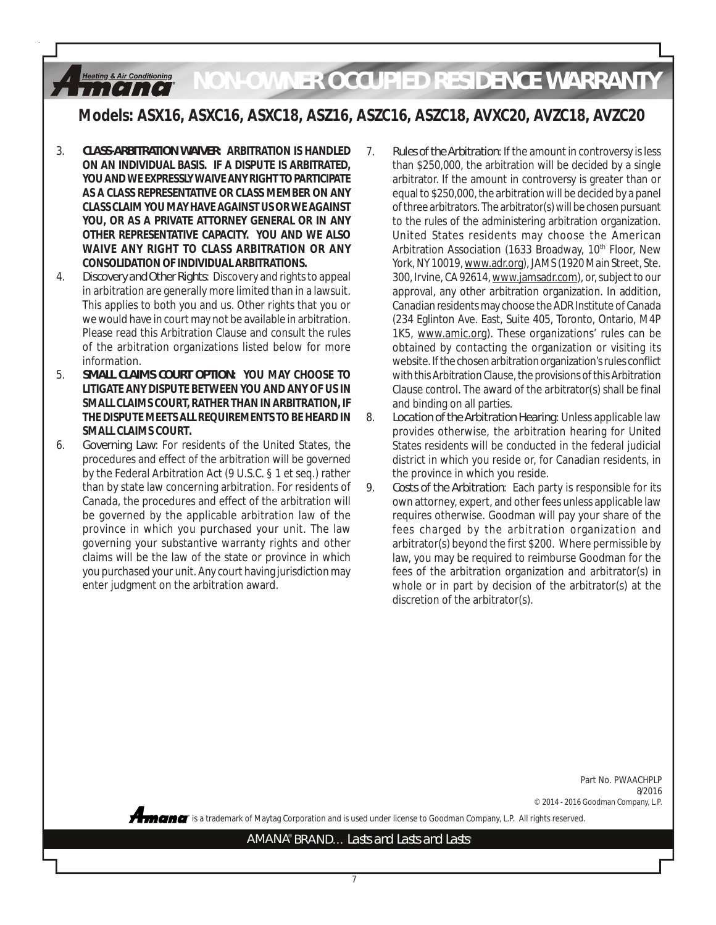#### *NON-OWNER OCCUPIED RESIDENCE WARRANTY* **Heating & Air Conditioning** ,,,,,,,,,,

## **Models: ASX16, ASXC16, ASXC18, ASZ16, ASZC16, ASZC18, AVXC20, AVZC18, AVZC20**

- 3. *CLASS-ARBITRATION WAIVER***: ARBITRATION IS HANDLED ON AN INDIVIDUAL BASIS. IF A DISPUTE IS ARBITRATED, YOU AND WE EXPRESSLY WAIVE ANY RIGHT TO PARTICIPATE AS A CLASS REPRESENTATIVE OR CLASS MEMBER ON ANY CLASS CLAIM YOU MAY HAVE AGAINST US OR WE AGAINST YOU, OR AS A PRIVATE ATTORNEY GENERAL OR IN ANY OTHER REPRESENTATIVE CAPACITY. YOU AND WE ALSO WAIVE ANY RIGHT TO CLASS ARBITRATION OR ANY CONSOLIDATION OF INDIVIDUAL ARBITRATIONS.**
- 4. *Discovery and Other Rights*: Discovery and rights to appeal in arbitration are generally more limited than in a lawsuit. This applies to both you and us. Other rights that you or we would have in court may not be available in arbitration. Please read this Arbitration Clause and consult the rules of the arbitration organizations listed below for more information.
- 5. *SMALL CLAIMS COURT OPTION***: YOU MAY CHOOSE TO LITIGATE ANY DISPUTE BETWEEN YOU AND ANY OF US IN SMALL CLAIMS COURT, RATHER THAN IN ARBITRATION, IF THE DISPUTE MEETS ALL REQUIREMENTS TO BE HEARD IN SMALL CLAIMS COURT.**
- 6. *Governing Law*: For residents of the United States, the procedures and effect of the arbitration will be governed by the Federal Arbitration Act (9 U.S.C. § 1 et seq.) rather than by state law concerning arbitration. For residents of Canada, the procedures and effect of the arbitration will be governed by the applicable arbitration law of the province in which you purchased your unit. The law governing your substantive warranty rights and other claims will be the law of the state or province in which you purchased your unit. Any court having jurisdiction may enter judgment on the arbitration award.
- 7. *Rules of the Arbitration*: If the amount in controversy is less than \$250,000, the arbitration will be decided by a single arbitrator. If the amount in controversy is greater than or equal to \$250,000, the arbitration will be decided by a panel of three arbitrators. The arbitrator(s) will be chosen pursuant to the rules of the administering arbitration organization. United States residents may choose the American Arbitration Association (1633 Broadway, 10<sup>th</sup> Floor, New York, NY 10019, www.adr.org), JAMS (1920 Main Street, Ste. 300, Irvine, CA 92614, www.jamsadr.com), or, subject to our approval, any other arbitration organization. In addition, Canadian residents may choose the ADR Institute of Canada (234 Eglinton Ave. East, Suite 405, Toronto, Ontario, M4P 1K5, www.amic.org). These organizations' rules can be obtained by contacting the organization or visiting its website. If the chosen arbitration organization's rules conflict with this Arbitration Clause, the provisions of this Arbitration Clause control. The award of the arbitrator(s) shall be final and binding on all parties.
- 8. *Location of the Arbitration Hearing*: Unless applicable law provides otherwise, the arbitration hearing for United States residents will be conducted in the federal judicial district in which you reside or, for Canadian residents, in the province in which you reside.
- 9. *Costs of the Arbitration*: Each party is responsible for its own attorney, expert, and other fees unless applicable law requires otherwise. Goodman will pay your share of the fees charged by the arbitration organization and arbitrator(s) beyond the first \$200. Where permissible by law, you may be required to reimburse Goodman for the fees of the arbitration organization and arbitrator(s) in whole or in part by decision of the arbitrator(s) at the discretion of the arbitrator(s).

Part No. PWAACHPLP 8/2016 © 2014 - 2016 Goodman Company, L.P.

**®** is a trademark of Maytag Corporation and is used under license to Goodman Company, L.P. All rights reserved.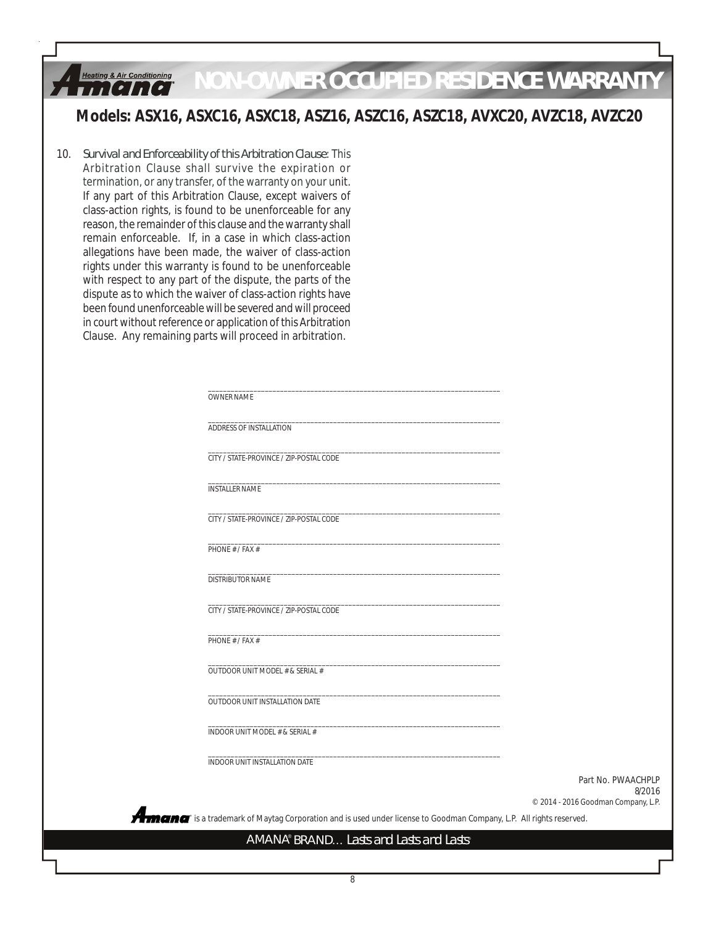#### **Heating & Air Conditioning** *NON-OWNER OCCUPIED RESIDENCE WARRANTY*,,,,,,,,,,

## **Models: ASX16, ASXC16, ASXC18, ASZ16, ASZC16, ASZC18, AVXC20, AVZC18, AVZC20**

10. *Survival and Enforceability of this Arbitration Clause*: This Arbitration Clause shall survive the expiration or termination, or any transfer, of the warranty on your unit. If any part of this Arbitration Clause, except waivers of class-action rights, is found to be unenforceable for any reason, the remainder of this clause and the warranty shall remain enforceable. If, in a case in which class-action allegations have been made, the waiver of class-action rights under this warranty is found to be unenforceable with respect to any part of the dispute, the parts of the dispute as to which the waiver of class-action rights have been found unenforceable will be severed and will proceed in court without reference or application of this Arbitration Clause. Any remaining parts will proceed in arbitration.

Aman

| OWNER NAME                              |  |
|-----------------------------------------|--|
| ADDRESS OF INSTALLATION                 |  |
| CITY / STATE-PROVINCE / ZIP-POSTAL CODE |  |
| <b>INSTALLER NAME</b>                   |  |
| CITY / STATE-PROVINCE / ZIP-POSTAL CODE |  |
| PHONE # / FAX #                         |  |
| DISTRIBUTOR NAME                        |  |
| CITY / STATE-PROVINCE / ZIP-POSTAL CODE |  |
| PHONE # / FAX #                         |  |
| OUTDOOR UNIT MODEL # & SERIAL #         |  |
| OUTDOOR UNIT INSTALLATION DATE          |  |
| INDOOR UNIT MODEL # & SERIAL #          |  |
|                                         |  |
| INDOOR UNIT INSTALLATION DATE           |  |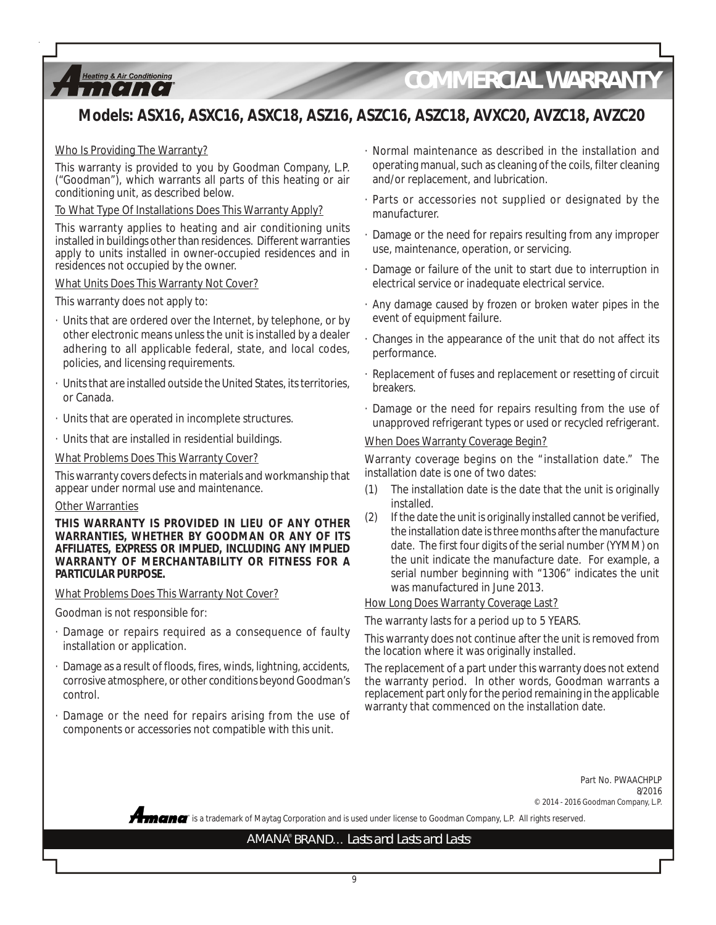

# *COMMERCIAL WARRANTY*

## **Models: ASX16, ASXC16, ASXC18, ASZ16, ASZC16, ASZC18, AVXC20, AVZC18, AVZC20**

#### Who Is Providing The Warranty?

This warranty is provided to you by Goodman Company, L.P. ("Goodman"), which warrants all parts of this heating or air conditioning unit, as described below.

#### To What Type Of Installations Does This Warranty Apply?

This warranty applies to heating and air conditioning units installed in buildings other than residences. Different warranties apply to units installed in owner-occupied residences and in residences not occupied by the owner.

#### What Units Does This Warranty Not Cover?

This warranty does not apply to:

- · Units that are ordered over the Internet, by telephone, or by other electronic means unless the unit is installed by a dealer adhering to all applicable federal, state, and local codes, policies, and licensing requirements.
- · Units that are installed outside the United States, its territories, or Canada.
- · Units that are operated in incomplete structures.
- · Units that are installed in residential buildings.

What Problems Does This Warranty Cover?

This warranty covers defects in materials and workmanship that appear under normal use and maintenance.

#### Other Warranties

**THIS WARRANTY IS PROVIDED IN LIEU OF ANY OTHER WARRANTIES, WHETHER BY GOODMAN OR ANY OF ITS AFFILIATES, EXPRESS OR IMPLIED, INCLUDING ANY IMPLIED WARRANTY OF MERCHANTABILITY OR FITNESS FOR A PARTICULAR PURPOSE.**

What Problems Does This Warranty Not Cover?

Goodman is not responsible for:

- · Damage or repairs required as a consequence of faulty installation or application.
- · Damage as a result of floods, fires, winds, lightning, accidents, corrosive atmosphere, or other conditions beyond Goodman's control.
- · Damage or the need for repairs arising from the use of components or accessories not compatible with this unit.
- · Normal maintenance as described in the installation and operating manual, such as cleaning of the coils, filter cleaning and/or replacement, and lubrication.
- · Parts or accessories not supplied or designated by the manufacturer.
- · Damage or the need for repairs resulting from any improper use, maintenance, operation, or servicing.
- · Damage or failure of the unit to start due to interruption in electrical service or inadequate electrical service.
- · Any damage caused by frozen or broken water pipes in the event of equipment failure.
- · Changes in the appearance of the unit that do not affect its performance.
- · Replacement of fuses and replacement or resetting of circuit breakers.
- · Damage or the need for repairs resulting from the use of unapproved refrigerant types or used or recycled refrigerant.

#### When Does Warranty Coverage Begin?

Warranty coverage begins on the "installation date." The installation date is one of two dates:

- (1) The installation date is the date that the unit is originally installed.
- (2) If the date the unit is originally installed cannot be verified, the installation date is three months after the manufacture date. The first four digits of the serial number (YYMM) on the unit indicate the manufacture date. For example, a serial number beginning with "1306" indicates the unit was manufactured in June 2013.

How Long Does Warranty Coverage Last?

The warranty lasts for a period up to 5 YEARS.

This warranty does not continue after the unit is removed from the location where it was originally installed.

The replacement of a part under this warranty does not extend the warranty period. In other words, Goodman warrants a replacement part only for the period remaining in the applicable warranty that commenced on the installation date.

> Part No. PWAACHPLP 8/2016 © 2014 - 2016 Goodman Company, L.P.

**®** is a trademark of Maytag Corporation and is used under license to Goodman Company, L.P. All rights reserved.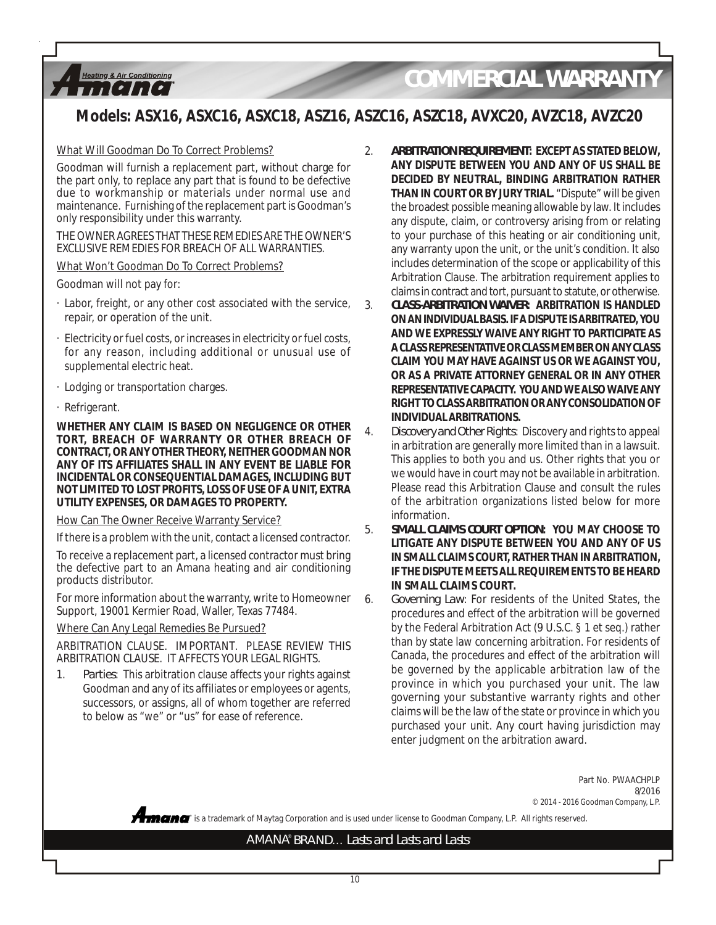*COMMERCIAL WARRANTY*

## **Models: ASX16, ASXC16, ASXC18, ASZ16, ASZC16, ASZC18, AVXC20, AVZC18, AVZC20**

#### What Will Goodman Do To Correct Problems?

Goodman will furnish a replacement part, without charge for the part only, to replace any part that is found to be defective due to workmanship or materials under normal use and maintenance. Furnishing of the replacement part is Goodman's only responsibility under this warranty.

THE OWNER AGREES THAT THESE REMEDIES ARE THE OWNER'S EXCLUSIVE REMEDIES FOR BREACH OF ALL WARRANTIES.

#### What Won't Goodman Do To Correct Problems?

Goodman will not pay for:

**Heating & Air Conditioning** ,,,,,,,,,,,

- · Labor, freight, or any other cost associated with the service, repair, or operation of the unit.
- · Electricity or fuel costs, or increases in electricity or fuel costs, for any reason, including additional or unusual use of supplemental electric heat.
- · Lodging or transportation charges.
- · Refrigerant.

**WHETHER ANY CLAIM IS BASED ON NEGLIGENCE OR OTHER TORT, BREACH OF WARRANTY OR OTHER BREACH OF CONTRACT, OR ANY OTHER THEORY, NEITHER GOODMAN NOR ANY OF ITS AFFILIATES SHALL IN ANY EVENT BE LIABLE FOR INCIDENTAL OR CONSEQUENTIAL DAMAGES, INCLUDING BUT NOT LIMITED TO LOST PROFITS, LOSS OF USE OF A UNIT, EXTRA UTILITY EXPENSES, OR DAMAGES TO PROPERTY.**

#### How Can The Owner Receive Warranty Service?

If there is a problem with the unit, contact a licensed contractor.

To receive a replacement part, a licensed contractor must bring the defective part to an Amana heating and air conditioning products distributor.

For more information about the warranty, write to Homeowner Support, 19001 Kermier Road, Waller, Texas 77484.

#### Where Can Any Legal Remedies Be Pursued?

ARBITRATION CLAUSE. IMPORTANT. PLEASE REVIEW THIS ARBITRATION CLAUSE. IT AFFECTS YOUR LEGAL RIGHTS.

1. *Parties*: This arbitration clause affects your rights against Goodman and any of its affiliates or employees or agents, successors, or assigns, all of whom together are referred to below as "we" or "us" for ease of reference.

- 2. *ARBITRATION REQUIREMENT***: EXCEPT AS STATED BELOW, ANY DISPUTE BETWEEN YOU AND ANY OF US SHALL BE DECIDED BY NEUTRAL, BINDING ARBITRATION RATHER THAN IN COURT OR BY JURY TRIAL.** "Dispute" will be given the broadest possible meaning allowable by law. It includes any dispute, claim, or controversy arising from or relating to your purchase of this heating or air conditioning unit, any warranty upon the unit, or the unit's condition. It also includes determination of the scope or applicability of this Arbitration Clause. The arbitration requirement applies to claims in contract and tort, pursuant to statute, or otherwise.
- 3. *CLASS-ARBITRATION WAIVER***: ARBITRATION IS HANDLED ON AN INDIVIDUAL BASIS. IF A DISPUTE IS ARBITRATED, YOU AND WE EXPRESSLY WAIVE ANY RIGHT TO PARTICIPATE AS A CLASS REPRESENTATIVE OR CLASS MEMBER ON ANY CLASS CLAIM YOU MAY HAVE AGAINST US OR WE AGAINST YOU, OR AS A PRIVATE ATTORNEY GENERAL OR IN ANY OTHER REPRESENTATIVE CAPACITY. YOU AND WE ALSO WAIVE ANY RIGHT TO CLASS ARBITRATION OR ANY CONSOLIDATION OF INDIVIDUAL ARBITRATIONS.**
- 4. *Discovery and Other Rights*: Discovery and rights to appeal in arbitration are generally more limited than in a lawsuit. This applies to both you and us. Other rights that you or we would have in court may not be available in arbitration. Please read this Arbitration Clause and consult the rules of the arbitration organizations listed below for more information.
- 5. *SMALL CLAIMS COURT OPTION***: YOU MAY CHOOSE TO LITIGATE ANY DISPUTE BETWEEN YOU AND ANY OF US IN SMALL CLAIMS COURT, RATHER THAN IN ARBITRATION, IF THE DISPUTE MEETS ALL REQUIREMENTS TO BE HEARD IN SMALL CLAIMS COURT.**

6. *Governing Law*: For residents of the United States, the procedures and effect of the arbitration will be governed by the Federal Arbitration Act (9 U.S.C. § 1 et seq.) rather than by state law concerning arbitration. For residents of Canada, the procedures and effect of the arbitration will be governed by the applicable arbitration law of the province in which you purchased your unit. The law governing your substantive warranty rights and other claims will be the law of the state or province in which you purchased your unit. Any court having jurisdiction may enter judgment on the arbitration award.

> Part No. PWAACHPLP 8/2016 © 2014 - 2016 Goodman Company, L.P.

**®** is a trademark of Maytag Corporation and is used under license to Goodman Company, L.P. All rights reserved.